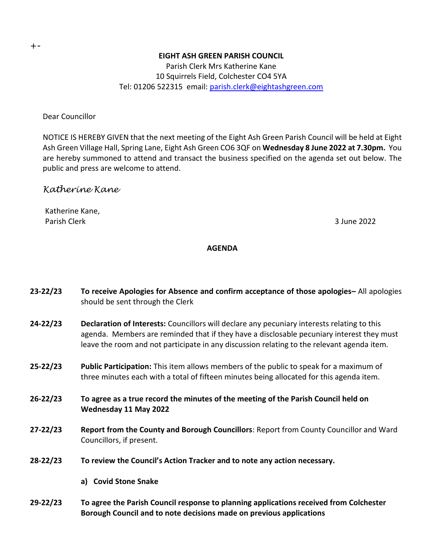## **EIGHT ASH GREEN PARISH COUNCIL**

Parish Clerk Mrs Katherine Kane 10 Squirrels Field, Colchester CO4 5YA Tel: 01206 522315 email: [parish.clerk@eightashgreen.com](mailto:parish.clerk@eightashgreen.com)

Dear Councillor

NOTICE IS HEREBY GIVEN that the next meeting of the Eight Ash Green Parish Council will be held at Eight Ash Green Village Hall, Spring Lane, Eight Ash Green CO6 3QF on **Wednesday 8 June 2022 at 7.30pm.** You are hereby summoned to attend and transact the business specified on the agenda set out below. The public and press are welcome to attend.

# *Katherine Kane*

Katherine Kane, Parish Clerk 3 June 2022

## **AGENDA**

| $23 - 22/23$ | To receive Apologies for Absence and confirm acceptance of those apologies– All apologies<br>should be sent through the Clerk                                                                                                                                                          |
|--------------|----------------------------------------------------------------------------------------------------------------------------------------------------------------------------------------------------------------------------------------------------------------------------------------|
| $24 - 22/23$ | Declaration of Interests: Councillors will declare any pecuniary interests relating to this<br>agenda. Members are reminded that if they have a disclosable pecuniary interest they must<br>leave the room and not participate in any discussion relating to the relevant agenda item. |
| $25 - 22/23$ | <b>Public Participation:</b> This item allows members of the public to speak for a maximum of<br>three minutes each with a total of fifteen minutes being allocated for this agenda item.                                                                                              |
| $26 - 22/23$ | To agree as a true record the minutes of the meeting of the Parish Council held on<br>Wednesday 11 May 2022                                                                                                                                                                            |
| $27 - 22/23$ | Report from the County and Borough Councillors: Report from County Councillor and Ward<br>Councillors, if present.                                                                                                                                                                     |
| $28 - 22/23$ | To review the Council's Action Tracker and to note any action necessary.                                                                                                                                                                                                               |

- **a) Covid Stone Snake**
- **29-22/23 To agree the Parish Council response to planning applications received from Colchester Borough Council and to note decisions made on previous applications**

+-